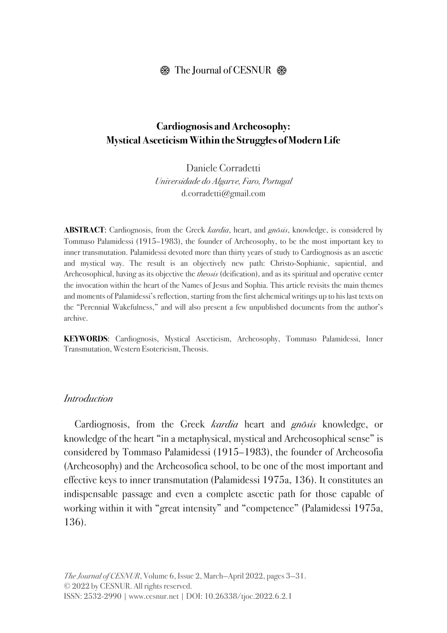### $\circledR$  The Journal of CESNUR  $\circledR$

### **Cardiognosis and Archeosophy: Mystical Asceticism Within the Struggles of Modern Life**

Daniele Corradetti Universidade do Algarve, Faro, Portugal d.corradetti@gmail.com

ABSTRACT: Cardiognosis, from the Greek *kardia*, heart, and *gnōsis*, knowledge, is considered by Tommaso Palamidessi (1915–1983), the founder of Archeosophy, to be the most important key to inner transmutation. Palamidessi devoted more than thirty years of study to Cardiognosis as an ascetic and mystical way. The result is an objectively new path: Christo-Sophianic, sapiential, and Archeosophical, having as its objective the *theosis* (deification), and as its spiritual and operative center the invocation within the heart of the Names of Jesus and Sophia. This article revisits the main themes and moments of Palamidessi's reflection, starting from the first alchemical writings up to his last texts on the "Perennial Wakefulness," and will also present a few unpublished documents from the author's archive.

**KEYWORDS**: Cardiognosis, Mystical Asceticism, Archeosophy, Tommaso Palamidessi, Inner Transmutation, Western Esotericism, Theosis.

#### **Introduction**

Cardiognosis, from the Greek kardia heart and gnōsis knowledge, or knowledge of the heart "in a metaphysical, mystical and Archeosophical sense" is considered by Tommaso Palamidessi (1915–1983), the founder of Archeosofia (Archeosophy) and the Archeosofica school, to be one of the most important and effective keys to inner transmutation (Palamidessi 1975a, 136). It constitutes an indispensable passage and even a complete ascetic path for those capable of working within it with "great intensity" and "competence" (Palamidessi 1975a, 136).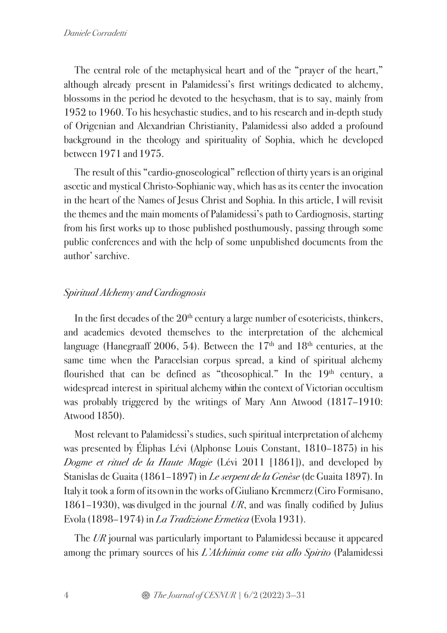The central role of the metaphysical heart and of the "prayer of the heart," although already present in Palamidessi's first writings dedicated to alchemy, blossoms in the period he devoted to the hesychasm, that is to say, mainly from 1952 to 1960. To his hesychastic studies, and to his research and in-depth study of Origenian and Alexandrian Christianity, Palamidessi also added a profound background in the theology and spirituality of Sophia, which he developed between 1971 and 1975.

The result of this "cardio-gnoseological" reflection of thirty years is an original ascetic and mystical Christo-Sophianic way, which has as its center the invocation in the heart of the Names of Jesus Christ and Sophia. In this article, I will revisit the themes and the main moments of Palamidessi's path to Cardiognosis, starting from his first works up to those published posthumously, passing through some public conferences and with the help of some unpublished documents from the author' s archive.

## Spiritual Alchemy and Cardiognosis

In the first decades of the  $20<sup>th</sup>$  century a large number of esotericists, thinkers, and academics devoted themselves to the interpretation of the alchemical language (Hanegraaff 2006, 54). Between the  $17<sup>th</sup>$  and  $18<sup>th</sup>$  centuries, at the same time when the Paracelsian corpus spread, a kind of spiritual alchemy flourished that can be defined as "theosophical." In the  $19<sup>th</sup>$  century, a widespread interest in spiritual alchemy within the context of Victorian occultism was probably triggered by the writings of Mary Ann Atwood (1817–1910: Atwood 1850).

Most relevant to Palamidessi's studies, such spiritual interpretation of alchemy was presented by Éliphas Lévi (Alphonse Louis Constant, 1810–1875) in his Dogme et rituel de la Haute Magie (Lévi 2011 [1861]), and developed by Stanislas de Guaita (1861–1897) in *Le serpent de la Genèse* (de Guaita 1897). In Italy it took a form of its own in the works ofGiuliano Kremmerz(Ciro Formisano, 1861–1930), was divulged in the journal  $UR$ , and was finally codified by Julius Evola (1898–1974) in *La Tradizione Ermetica* (Evola 1931).

The UR journal was particularly important to Palamidessi because it appeared among the primary sources of his *L'Alchimia come via allo Spirito* (Palamidessi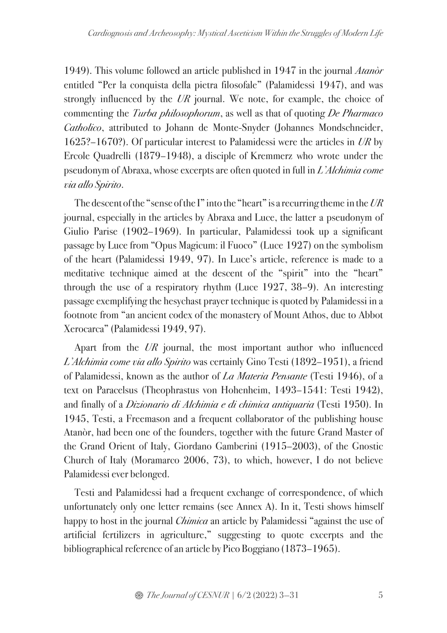1949). This volume followed an article published in 1947 in the journal Atanòr entitled "Per la conquista della pietra filosofale" (Palamidessi 1947), and was strongly influenced by the  $UR$  journal. We note, for example, the choice of commenting the *Turba philosophorum*, as well as that of quoting *De Pharmaco* Catholico, attributed to Johann de Monte-Snyder (Johannes Mondschneider, 1625?–1670?). Of particular interest to Palamidessi were the articles in UR by Ercole Quadrelli (1879–1948), a disciple of Kremmerz who wrote under the pseudonym of Abraxa, whose excerpts are often quoted in full in L'Alchimia come via allo Spirito.

The descent of the "sense of the I" into the "heart" is a recurring theme in the  $UR$ journal, especially in the articles by Abraxa and Luce, the latter a pseudonym of Giulio Parise (1902–1969). In particular, Palamidessi took up a significant passage by Luce from "Opus Magicum: il Fuoco" (Luce 1927) on the symbolism of the heart (Palamidessi 1949, 97). In Luce's article, reference is made to a meditative technique aimed at the descent of the "spirit" into the "heart" through the use of a respiratory rhythm (Luce 1927, 38–9). An interesting passage exemplifying the hesychast prayer technique is quoted by Palamidessi in a footnote from "an ancient codex of the monastery of Mount Athos, due to Abbot Xerocarca" (Palamidessi 1949, 97).

Apart from the  $UR$  journal, the most important author who influenced L'Alchimia come via allo Spirito was certainly Gino Testi (1892–1951), a friend of Palamidessi, known as the author of La Materia Pensante (Testi 1946), of a text on Paracelsus (Theophrastus von Hohenheim, 1493–1541: Testi 1942), and finally of a Dizionario di Alchimia e di chimica antiquaria (Testi 1950). In 1945, Testi, a Freemason and a frequent collaborator of the publishing house Atanòr, had been one of the founders, together with the future Grand Master of the Grand Orient of Italy, Giordano Gamberini (1915–2003), of the Gnostic Church of Italy (Moramarco 2006, 73), to which, however, I do not believe Palamidessi ever belonged.

Testi and Palamidessi had a frequent exchange of correspondence, of which unfortunately only one letter remains (see Annex A). In it, Testi shows himself happy to host in the journal *Chimica* an article by Palamidessi "against the use of artificial fertilizers in agriculture," suggesting to quote excerpts and the bibliographical reference of an article by Pico Boggiano (1873–1965).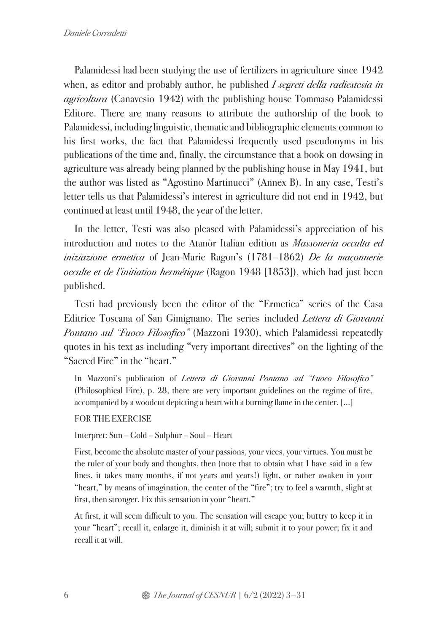Palamidessi had been studying the use of fertilizers in agriculture since 1942 when, as editor and probably author, he published I segreti della radiestesia in agricoltura (Canavesio 1942) with the publishing house Tommaso Palamidessi Editore. There are many reasons to attribute the authorship of the book to Palamidessi, including linguistic, thematic and bibliographic elements common to his first works, the fact that Palamidessi frequently used pseudonyms in his publications of the time and, finally, the circumstance that a book on dowsing in agriculture was already being planned by the publishing house in May 1941, but the author was listed as "Agostino Martinucci" (Annex B). In any case, Testi's letter tells us that Palamidessi's interest in agriculture did not end in 1942, but continued at least until 1948, the year of the letter.

In the letter, Testi was also pleased with Palamidessi's appreciation of his introduction and notes to the Atanòr Italian edition as Massoneria occulta ed iniziazione ermetica of Jean-Marie Ragon's (1781–1862) De la maçonnerie occulte et de l'initiation hermétique (Ragon 1948 [1853]), which had just been published.

Testi had previously been the editor of the "Ermetica" series of the Casa Editrice Toscana of San Gimignano. The series included *Lettera di Giovanni* Pontano sul "Fuoco Filosofico" (Mazzoni 1930), which Palamidessi repeatedly quotes in his text as including "very important directives" on the lighting of the "Sacred Fire" in the "heart."

In Mazzoni's publication of Lettera di Giovanni Pontano sul "Fuoco Filosofico" (Philosophical Fire), p. 28, there are very important guidelines on the regime of fire, accompanied by a woodcut depicting a heart with a burning flame in the center. [...]

FOR THE EXERCISE

Interpret: Sun – Gold – Sulphur – Soul – Heart

First, become the absolute master of your passions, your vices, your virtues. You must be the ruler of your body and thoughts, then (note that to obtain what I have said in a few lines, it takes many months, if not years and years!) light, or rather awaken in your "heart," by means of imagination, the center of the "fire"; try to feel a warmth, slight at first, then stronger. Fix this sensation in your "heart."

At first, it will seem difficult to you. The sensation will escape you; but try to keep it in your "heart"; recall it, enlarge it, diminish it at will; submit it to your power; fix it and recall it at will.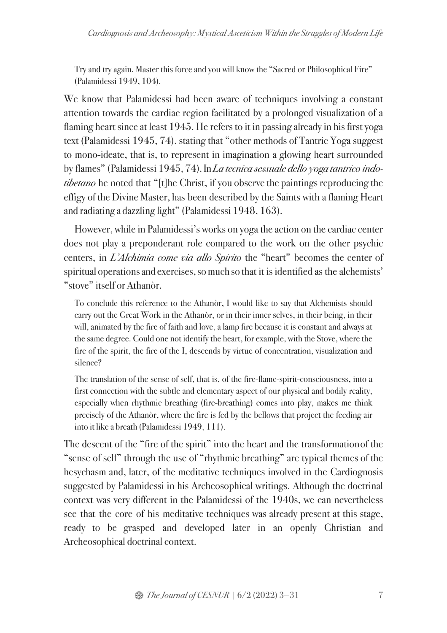Try and try again. Master this force and you will know the "Sacred or Philosophical Fire" (Palamidessi 1949, 104).

We know that Palamidessi had been aware of techniques involving a constant attention towards the cardiac region facilitated by a prolonged visualization of a flaming heart since at least 1945. He refers to it in passing already in his first yoga text (Palamidessi 1945, 74), stating that "other methods of Tantric Yoga suggest to mono-ideate, that is, to represent in imagination a glowing heart surrounded by flames" (Palamidessi 1945, 74). In La tecnica sessuale dello yoga tantrico indotibetano he noted that "[t]he Christ, if you observe the paintings reproducing the effigy of the Divine Master, has been described by the Saints with a flaming Heart and radiating a dazzling light" (Palamidessi 1948, 163).

However, while in Palamidessi's works on yoga the action on the cardiac center does not play a preponderant role compared to the work on the other psychic centers, in L'Alchimia come via allo Spirito the "heart" becomes the center of spiritual operations and exercises, so much so that it is identified as the alchemists' "stove" itself or Athanòr.

To conclude this reference to the Athanòr, I would like to say that Alchemists should carry out the Great Work in the Athanòr, or in their inner selves, in their being, in their will, animated by the fire of faith and love, a lamp fire because it is constant and always at the same degree. Could one not identify the heart, for example, with the Stove, where the fire of the spirit, the fire of the I, descends by virtue of concentration, visualization and silence?

The translation of the sense of self, that is, of the fire-flame-spirit-consciousness, into a first connection with the subtle and elementary aspect of our physical and bodily reality, especially when rhythmic breathing (fire-breathing) comes into play, makes me think precisely of the Athanòr, where the fire is fed by the bellows that project the feeding air into it like a breath (Palamidessi 1949, 111).

The descent of the "fire of the spirit" into the heart and the transformationof the "sense of self" through the use of "rhythmic breathing" are typical themes of the hesychasm and, later, of the meditative techniques involved in the Cardiognosis suggested by Palamidessi in his Archeosophical writings. Although the doctrinal context was very different in the Palamidessi of the 1940s, we can nevertheless see that the core of his meditative techniques was already present at this stage, ready to be grasped and developed later in an openly Christian and Archeosophical doctrinal context.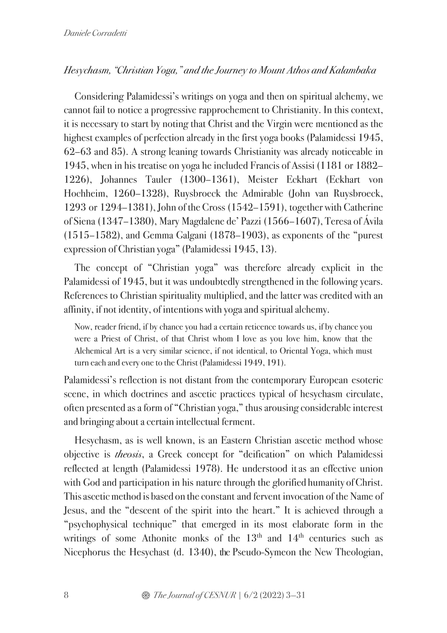### Hesychasm, "Christian Yoga," and the Journey to Mount Athos and Kalambaka

Considering Palamidessi's writings on yoga and then on spiritual alchemy, we cannot fail to notice a progressive rapprochement to Christianity. In this context, it is necessary to start by noting that Christ and the Virgin were mentioned as the highest examples of perfection already in the first yoga books (Palamidessi 1945, 62–63 and 85). A strong leaning towards Christianity was already noticeable in 1945, when in his treatise on yoga he included Francis of Assisi (1181 or 1882– 1226), Johannes Tauler (1300–1361), Meister Eckhart (Eckhart von Hochheim, 1260–1328), Ruysbroeck the Admirable (John van Ruysbroeck, 1293 or 1294–1381), John of the Cross (1542–1591), together with Catherine of Siena (1347–1380), Mary Magdalene de' Pazzi (1566–1607), Teresa of Ávila (1515–1582), and Gemma Galgani (1878–1903), as exponents of the "purest expression of Christian yoga" (Palamidessi 1945, 13).

The concept of "Christian yoga" was therefore already explicit in the Palamidessi of 1945, but it was undoubtedly strengthened in the following years. References to Christian spirituality multiplied, and the latter was credited with an affinity, if not identity, of intentions with yoga and spiritual alchemy.

Now, reader friend, if by chance you had a certain reticence towards us, if by chance you were a Priest of Christ, of that Christ whom I love as you love him, know that the Alchemical Art is a very similar science, if not identical, to Oriental Yoga, which must turn each and every one to the Christ (Palamidessi 1949, 191).

Palamidessi's reflection is not distant from the contemporary European esoteric scene, in which doctrines and ascetic practices typical of hesychasm circulate, often presented as a form of "Christian yoga," thus arousing considerable interest and bringing about a certain intellectual ferment.

Hesychasm, as is well known, is an Eastern Christian ascetic method whose objective is theosis, a Greek concept for "deification" on which Palamidessi reflected at length (Palamidessi 1978). He understood itas an effective union with God and participation in his nature through the glorified humanity of Christ. This ascetic method is based on the constant and fervent invocation of the Name of Jesus, and the "descent of the spirit into the heart." It is achieved through a "psychophysical technique" that emerged in its most elaborate form in the writings of some Athonite monks of the  $13<sup>th</sup>$  and  $14<sup>th</sup>$  centuries such as Nicephorus the Hesychast (d. 1340), the Pseudo-Symeon the New Theologian,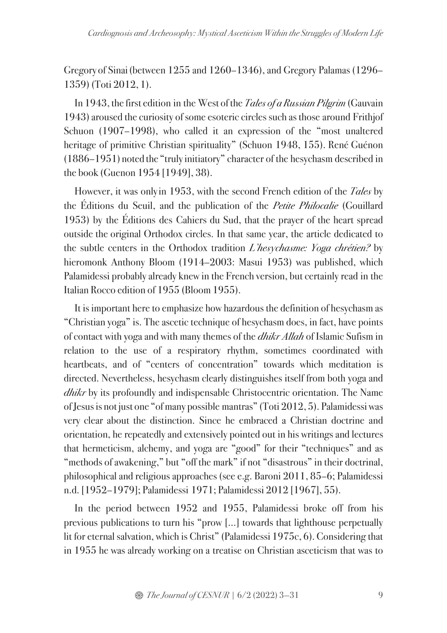Gregory of Sinai(between 1255 and 1260–1346), and Gregory Palamas (1296– 1359) (Toti 2012, 1).

In 1943, the first edition in the West of the *Tales of a Russian Pilgrim* (Gauvain 1943)aroused the curiosity of some esoteric circles such as those around Frithjof Schuon (1907–1998), who called it an expression of the "most unaltered heritage of primitive Christian spirituality" (Schuon 1948, 155). René Guénon (1886–1951) noted the "truly initiatory" character of the hesychasm described in the book (Guenon 1954 [1949], 38).

However, it was only in 1953, with the second French edition of the *Tales* by the Éditions du Seuil, and the publication of the *Petite Philocalie* (Gouillard 1953) by the Éditions des Cahiers du Sud, that the prayer of the heart spread outside the original Orthodox circles. In that same year, the article dedicated to the subtle centers in the Orthodox tradition L'hesychasme: Yoga chrétien? by hieromonk Anthony Bloom (1914–2003: Masui 1953) was published, which Palamidessi probably already knew in the French version, but certainly read in the Italian Rocco edition of 1955 (Bloom 1955).

It is important here to emphasize how hazardous the definition of hesychasm as "Christian yoga" is. The ascetic technique of hesychasm does, in fact, have points of contact with yoga and with many themes of the *dhikr Allah* of Islamic Sufism in relation to the use of a respiratory rhythm, sometimes coordinated with heartbeats, and of "centers of concentration" towards which meditation is directed. Nevertheless, hesychasm clearly distinguishes itself from both yoga and dhikr by its profoundly and indispensable Christocentric orientation. The Name ofJesusis not just one "of many possible mantras" (Toti 2012, 5). Palamidessi was very clear about the distinction. Since he embraced a Christian doctrine and orientation, he repeatedly and extensively pointed out in his writings and lectures that hermeticism, alchemy, and yoga are "good" for their "techniques" and as "methods of awakening," but "off the mark" if not "disastrous" in their doctrinal, philosophical and religious approaches (see e.g. Baroni 2011, 85–6; Palamidessi n.d. [1952–1979]; Palamidessi 1971; Palamidessi 2012 [1967], 55).

In the period between 1952 and 1955, Palamidessi broke off from his previous publications to turn his "prow [...] towards that lighthouse perpetually lit for eternal salvation, which is Christ" (Palamidessi 1975c, 6). Considering that in 1955 he was already working on a treatise on Christian asceticism that was to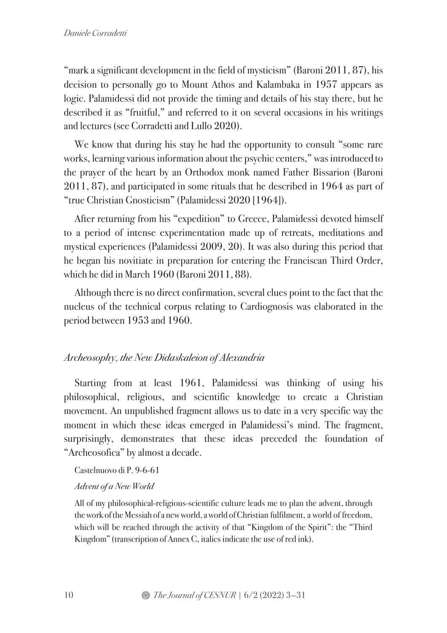"mark a significant development in the field of mysticism" (Baroni 2011, 87), his decision to personally go to Mount Athos and Kalambaka in 1957 appears as logic. Palamidessi did not provide the timing and details of his stay there, but he described it as "fruitful," and referred to it on several occasions in his writings and lectures (see Corradetti and Lullo 2020).

We know that during his stay he had the opportunity to consult "some rare" works, learning various information about the psychic centers," was introduced to the prayer of the heart by an Orthodox monk named Father Bissarion (Baroni 2011, 87), and participated in some rituals that he described in 1964 as part of "true Christian Gnosticism" (Palamidessi 2020 [1964]).

After returning from his "expedition" to Greece, Palamidessi devoted himself to a period of intense experimentation made up of retreats, meditations and mystical experiences (Palamidessi 2009, 20). It was also during this period that he began his novitiate in preparation for entering the Franciscan Third Order, which he did in March 1960 (Baroni 2011, 88).

Although there is no direct confirmation, several clues point to the fact that the nucleus of the technical corpus relating to Cardiognosis was elaborated in the period between 1953 and 1960.

# Archeosophy, the New Didaskaleion of Alexandria

Starting from at least 1961, Palamidessi was thinking of using his philosophical, religious, and scientific knowledge to create a Christian movement. An unpublished fragment allows us to date in a very specific way the moment in which these ideas emerged in Palamidessi's mind. The fragment, surprisingly, demonstrates that these ideas preceded the foundation of "Archeosofica" by almost a decade.

Castelnuovo di P. 9-6-61

### Advent of a New World

All of my philosophical-religious-scientific culture leads me to plan the advent, through the work of the Messiah of a new world, a world of Christian fulfilment, a world of freedom, which will be reached through the activity of that "Kingdom of the Spirit": the "Third Kingdom" (transcription of Annex C, italics indicate the use of red ink).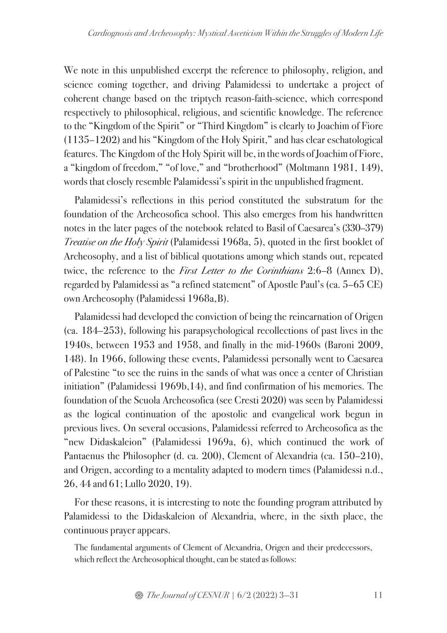We note in this unpublished excerpt the reference to philosophy, religion, and science coming together, and driving Palamidessi to undertake a project of coherent change based on the triptych reason-faith-science, which correspond respectively to philosophical, religious, and scientific knowledge. The reference to the "Kingdom of the Spirit" or "Third Kingdom" is clearly to Joachim of Fiore (1135–1202) and his "Kingdom of the Holy Spirit," and has clear eschatological features. The Kingdom of the Holy Spirit will be, in the words ofJoachim of Fiore, a "kingdom of freedom," "of love," and "brotherhood" (Moltmann 1981, 149), words that closely resemble Palamidessi's spirit in the unpublished fragment.

Palamidessi's reflections in this period constituted the substratum for the foundation of the Archeosofica school. This also emerges from his handwritten notes in the later pages of the notebook related to Basil of Caesarea's (330–379) Treatise on the Holy Spirit (Palamidessi 1968a, 5), quoted in the first booklet of Archeosophy, and a list of biblical quotations among which stands out, repeated twice, the reference to the *First Letter to the Corinthians* 2:6–8 (Annex D), regarded by Palamidessi as "a refined statement" of Apostle Paul's (ca. 5–65 CE) own Archeosophy (Palamidessi 1968a,B).

Palamidessi had developed the conviction of being the reincarnation of Origen (ca. 184–253), following his parapsychological recollections of past lives in the 1940s, between 1953 and 1958, and finally in the mid-1960s (Baroni 2009, 148). In 1966, following these events, Palamidessi personally went to Caesarea of Palestine "to see the ruins in the sands of what was once a center of Christian initiation" (Palamidessi 1969b,14), and find confirmation of his memories. The foundation of the Scuola Archeosofica (see Cresti 2020) was seen by Palamidessi as the logical continuation of the apostolic and evangelical work begun in previous lives. On several occasions, Palamidessi referred to Archeosofica as the "new Didaskaleion" (Palamidessi 1969a, 6), which continued the work of Pantaenus the Philosopher (d. ca. 200), Clement of Alexandria (ca. 150–210), and Origen, according to a mentality adapted to modern times (Palamidessi n.d., 26, 44 and 61; Lullo 2020, 19).

For these reasons, it is interesting to note the founding program attributed by Palamidessi to the Didaskaleion of Alexandria, where, in the sixth place, the continuous prayer appears.

The fundamental arguments of Clement of Alexandria, Origen and their predecessors, which reflect the Archeosophical thought, can be stated as follows: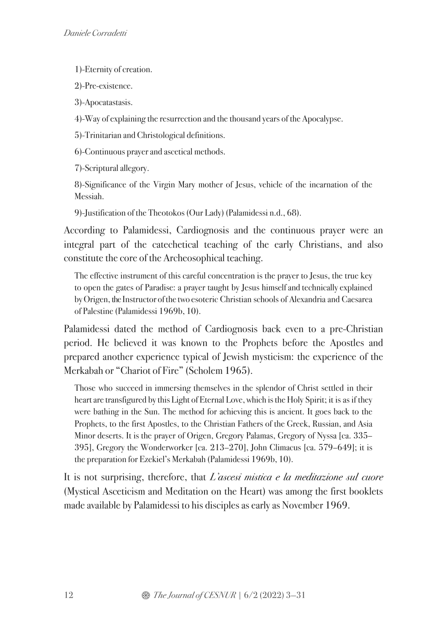1)-Eternity of creation.

2)-Pre-existence.

3)-Apocatastasis.

4)-Way of explaining the resurrection and the thousand years of the Apocalypse.

5)-Trinitarian and Christological definitions.

6)-Continuous prayer and ascetical methods.

7)-Scriptural allegory.

8)-Significance of the Virgin Mary mother of Jesus, vehicle of the incarnation of the Messiah.

9)-Justification of the Theotokos (Our Lady) (Palamidessi n.d., 68).

According to Palamidessi, Cardiognosis and the continuous prayer were an integral part of the catechetical teaching of the early Christians, and also constitute the core of the Archeosophical teaching.

The effective instrument of this careful concentration is the prayer to Jesus, the true key to open the gates of Paradise: a prayer taught by Jesus himself and technically explained by Origen, the Instructor of the two esoteric Christian schools of Alexandria and Caesarea of Palestine (Palamidessi 1969b, 10).

Palamidessi dated the method of Cardiognosis back even to a pre-Christian period. He believed it was known to the Prophets before the Apostles and prepared another experience typical of Jewish mysticism: the experience of the Merkabah or "Chariot of Fire" (Scholem 1965).

Those who succeed in immersing themselves in the splendor of Christ settled in their heart are transfigured by this Light of Eternal Love, which is the Holy Spirit; it is as if they were bathing in the Sun. The method for achieving this is ancient. It goes back to the Prophets, to the first Apostles, to the Christian Fathers of the Greek, Russian, and Asia Minor deserts. It is the prayer of Origen, Gregory Palamas, Gregory of Nyssa [ca. 335– 395], Gregory the Wonderworker [ca. 213–270], John Climacus [ca. 579–649]; it is the preparation for Ezekiel's Merkabah (Palamidessi 1969b, 10).

It is not surprising, therefore, that L'ascesi mistica e la meditazione sul cuore (Mystical Asceticism and Meditation on the Heart) was among the first booklets made available by Palamidessi to his disciples as early as November 1969.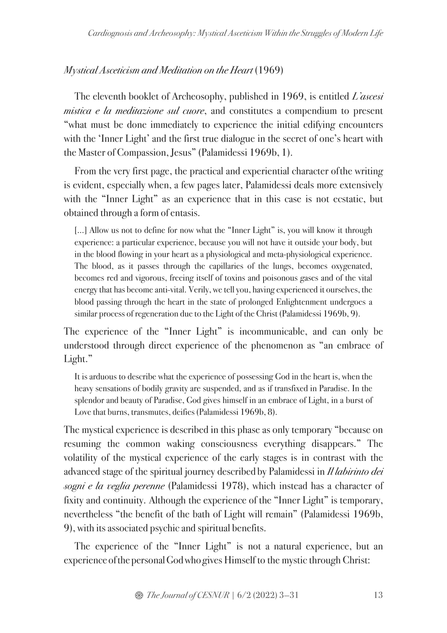# Mystical Asceticism and Meditation on the Heart (1969)

The eleventh booklet of Archeosophy, published in 1969, is entitled L'ascesi mistica e la meditazione sul cuore, and constitutes a compendium to present "what must be done immediately to experience the initial edifying encounters with the 'Inner Light' and the first true dialogue in the secret of one's heart with the Master of Compassion, Jesus" (Palamidessi 1969b, 1).

From the very first page, the practical and experiential character ofthe writing is evident, especially when, a few pages later, Palamidessi deals more extensively with the "Inner Light" as an experience that in this case is not ecstatic, but obtained through a form of entasis.

[...] Allow us not to define for now what the "Inner Light" is, you will know it through experience: a particular experience, because you will not have it outside your body, but in the blood flowing in your heart as a physiological and meta-physiological experience. The blood, as it passes through the capillaries of the lungs, becomes oxygenated, becomes red and vigorous, freeing itself of toxins and poisonous gases and of the vital energy that has become anti-vital. Verily, we tell you, having experienced it ourselves, the blood passing through the heart in the state of prolonged Enlightenment undergoes a similar process of regeneration due to the Light of the Christ (Palamidessi 1969b, 9).

The experience of the "Inner Light" is incommunicable, and can only be understood through direct experience of the phenomenon as "an embrace of Light."

It is arduous to describe what the experience of possessing God in the heart is, when the heavy sensations of bodily gravity are suspended, and as if transfixed in Paradise. In the splendor and beauty of Paradise, God gives himself in an embrace of Light, in a burst of Love that burns, transmutes, deifies (Palamidessi 1969b, 8).

The mystical experience is described in this phase as only temporary "because on resuming the common waking consciousness everything disappears." The volatility of the mystical experience of the early stages is in contrast with the advanced stage of the spiritual journey described by Palamidessi in *Il labirinto dei* sogni e la veglia perenne (Palamidessi 1978), which instead has a character of fixity and continuity. Although the experience of the "Inner Light" is temporary, nevertheless "the benefit of the bath of Light will remain" (Palamidessi 1969b, 9), with its associated psychic and spiritual benefits.

The experience of the "Inner Light" is not a natural experience, but an experience of the personal God who gives Himself to the mystic through Christ: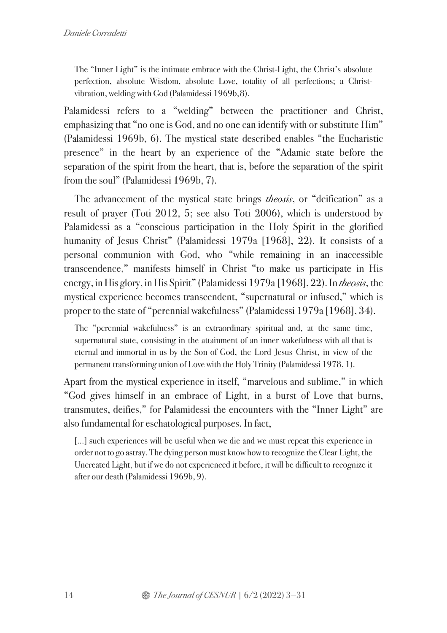The "Inner Light" is the intimate embrace with the Christ-Light, the Christ's absolute perfection, absolute Wisdom, absolute Love, totality of all perfections; a Christvibration, welding with God (Palamidessi 1969b, 8).

Palamidessi refers to a "welding" between the practitioner and Christ, emphasizing that "no one is God, and no one can identify with or substitute Him" (Palamidessi 1969b, 6). The mystical state described enables "the Eucharistic presence" in the heart by an experience of the "Adamic state before the separation of the spirit from the heart, that is, before the separation of the spirit from the soul" (Palamidessi 1969b, 7).

The advancement of the mystical state brings *theosis*, or "deification" as a result of prayer (Toti 2012, 5; see also Toti 2006), which is understood by Palamidessi as a "conscious participation in the Holy Spirit in the glorified humanity of Jesus Christ" (Palamidessi 1979a [1968], 22). It consists of a personal communion with God, who "while remaining in an inaccessible transcendence," manifests himself in Christ "to make us participate in His energy, in His glory, in His Spirit" (Palamidessi 1979a [1968], 22). In theosis, the mystical experience becomes transcendent, "supernatural or infused," which is proper to the state of "perennial wakefulness" (Palamidessi 1979a [1968], 34).

The "perennial wakefulness" is an extraordinary spiritual and, at the same time, supernatural state, consisting in the attainment of an inner wakefulness with all that is eternal and immortal in us by the Son of God, the Lord Jesus Christ, in view of the permanent transforming union of Love with the Holy Trinity (Palamidessi 1978, 1).

Apart from the mystical experience in itself, "marvelous and sublime," in which "God gives himself in an embrace of Light, in a burst of Love that burns, transmutes, deifies," for Palamidessi the encounters with the "Inner Light" are also fundamental for eschatological purposes. In fact,

[...] such experiences will be useful when we die and we must repeat this experience in order not to go astray. The dying person must know how to recognize the Clear Light, the Uncreated Light, but if we do not experienced it before, it will be difficult to recognize it after our death (Palamidessi 1969b, 9).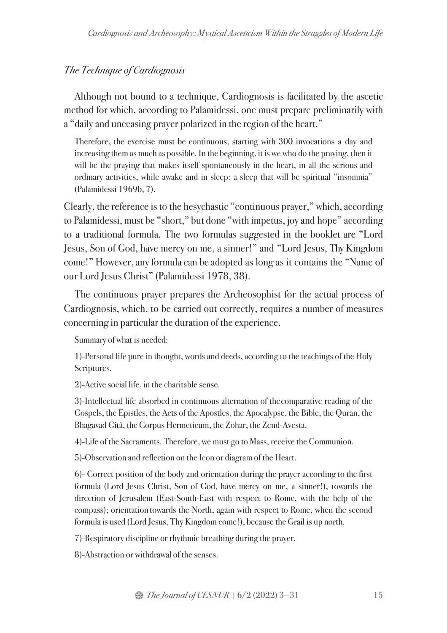## The Technique of Cardiognosis

Although not bound to a technique, Cardiognosis is facilitated by the ascetic method for which, according to Palamidessi, one must prepare preliminarily with a "daily and unceasing prayer polarized in the region of the heart."

Therefore, the exercise must be continuous, starting with 300 invocations a day and increasing them as much as possible. In the beginning, it is we who do the praying, then it will be the praying that makes itself spontaneously in the heart, in all the serious and ordinary activities, while awake and in sleep: a sleep that will be spiritual "insomnia" (Palamidessi 1969b, 7).

Clearly, the reference is to the hesychastic "continuous prayer," which, according to Palamidessi, must be "short," but done "with impetus, joy and hope" according to a traditional formula. The two formulas suggested in the booklet are "Lord Jesus, Son of God, have mercy on me, a sinner!" and "Lord Jesus, Thy Kingdom come!" However,any formula can be adopted as long as it contains the "Name of our Lord Jesus Christ" (Palamidessi 1978, 38).

The continuous prayer prepares the Archeosophist for the actual process of Cardiognosis, which, to be carried out correctly, requires a number of measures concerning in particular the duration of the experience.

Summary of what is needed:

1)-Personal life pure in thought, words and deeds, according to the teachings of the Holy Scriptures.

2)-Active social life, in the charitable sense.

3)-Intellectual life absorbed in continuous alternation of the comparative reading of the Gospels, the Epistles, the Acts of the Apostles, the Apocalypse, the Bible, the Quran, the Bhagavad Gîtâ, the Corpus Hermeticum, the Zohar, the Zend-Avesta.

4)-Life of the Sacraments. Therefore, we must go to Mass, receive the Communion.

5)-Observation and reflection on the Icon or diagram of the Heart.

6)- Correct position of the body and orientation during the prayer according to the first formula (Lord Jesus Christ, Son of God, have mercy on me, a sinner!), towards the direction of Jerusalem (East-South-East with respect to Rome, with the help of the compass); orientation towards the North, again with respect to Rome, when the second formula is used (Lord Jesus, Thy Kingdom come!), because the Grail is up north.

7)-Respiratory discipline or rhythmic breathing during the prayer.

8)-Abstraction or withdrawal of the senses.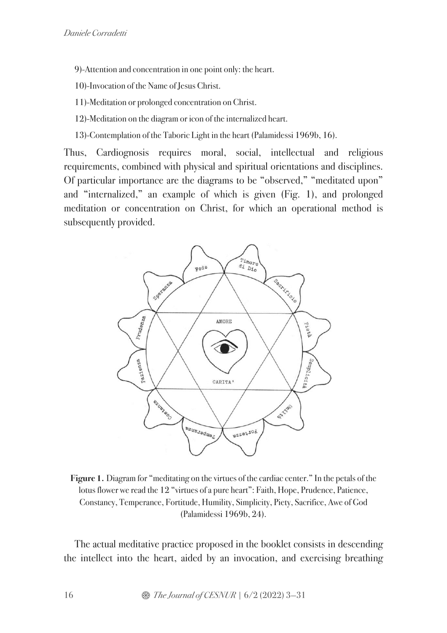- 9)-Attention and concentration in one point only: the heart.
- 10)-Invocation of the Name of Jesus Christ.
- 11)-Meditation or prolonged concentration on Christ.
- 12)-Meditation on the diagram or icon of the internalized heart.
- 13)-Contemplation of the Taboric Light in the heart (Palamidessi 1969b, 16).

Thus, Cardiognosis requires moral, social, intellectual and religious requirements, combined with physical and spiritual orientations and disciplines. Of particular importance are the diagrams to be "observed," "meditated upon" and "internalized," an example of which is given (Fig. 1), and prolonged meditation or concentration on Christ, for which an operational method is subsequently provided.



**Figure 1.** Diagram for "meditating on the virtues of the cardiac center." In the petals of the lotus flower we read the 12 "virtues of a pure heart": Faith, Hope, Prudence, Patience, Constancy, Temperance, Fortitude, Humility, Simplicity, Piety, Sacrifice, Awe of God (Palamidessi 1969b, 24).

The actual meditative practice proposed in the booklet consists in descending the intellect into the heart, aided by an invocation, and exercising breathing

16 **8** *The Journal of CESNUR* |  $6/2$  (2022) 3–31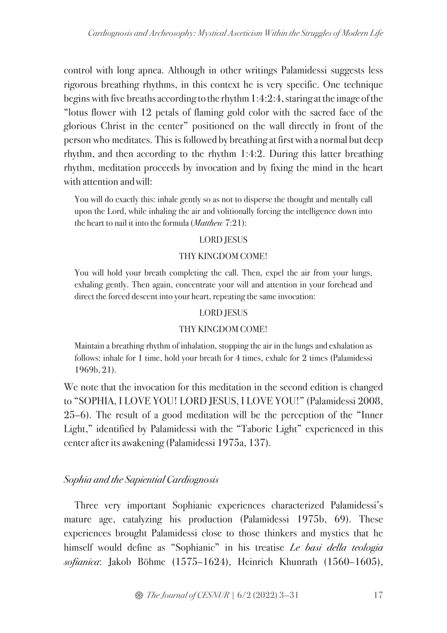control with long apnea. Although in other writings Palamidessi suggests less rigorous breathing rhythms, in this context he is very specific. One technique begins with five breaths according to the rhythm  $1:4:2:4$ , staring at the image of the "lotus flower with 12 petals of flaming gold color with the sacred face of the glorious Christ in the center" positioned on the wall directly in front of the person who meditates. This is followed by breathing at first with a normal but deep rhythm, and then according to the rhythm 1:4:2. During this latter breathing rhythm, meditation proceeds by invocation and by fixing the mind in the heart with attention andwill:

You will do exactly this: inhale gently so as not to disperse the thought and mentally call upon the Lord, while inhaling the air and volitionally forcing the intelligence down into the heart to nail it into the formula (*Matthew* 7:21):

### LORD JESUS

#### THY KINGDOM COME!

You will hold your breath completing the call. Then, expel the air from your lungs, exhaling gently. Then again, concentrate your will and attention in your forehead and direct the forced descent into your heart, repeating the same invocation:

#### LORD JESUS

#### THY KINGDOM COME!

Maintain a breathing rhythm of inhalation, stopping the air in the lungs and exhalation as follows: inhale for 1 time, hold your breath for 4 times, exhale for 2 times (Palamidessi 1969b, 21).

We note that the invocation for this meditation in the second edition is changed to "SOPHIA, I LOVE YOU! LORD JESUS, I LOVE YOU!" (Palamidessi 2008, 25–6). The result of a good meditation will be the perception of the "Inner Light," identified by Palamidessi with the "Taboric Light" experienced in this center after its awakening (Palamidessi 1975a, 137).

### Sophia and the Sapiential Cardiognosis

Three very important Sophianic experiences characterized Palamidessi's mature age, catalyzing his production (Palamidessi 1975b, 69). These experiences brought Palamidessi close to those thinkers and mystics that he himself would define as "Sophianic" in his treatise Le basi della teologia sofianica: Jakob Böhme (1575–1624), Heinrich Khunrath (1560–1605),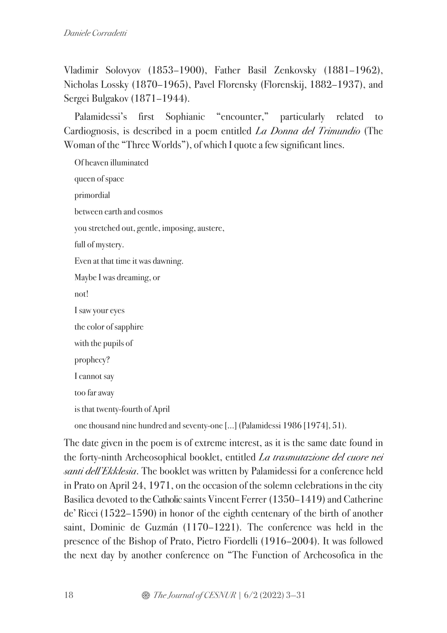Vladimir Solovyov (1853–1900), Father Basil Zenkovsky (1881–1962), Nicholas Lossky (1870–1965), Pavel Florensky (Florenskij, 1882–1937), and Sergei Bulgakov (1871–1944).

Palamidessi's first Sophianic "encounter," particularly related to Cardiognosis, is described in a poem entitled La Donna del Trimundio (The Woman of the "Three Worlds"), of which I quote a few significant lines.

Of heaven illuminated queen of space primordial between earth and cosmos you stretched out, gentle, imposing, austere, full of mystery. Even at that time it was dawning. Maybe I was dreaming, or not! I saw your eyes the color of sapphire with the pupils of prophecy? I cannot say too far away is that twenty-fourth of April one thousand nine hundred and seventy-one [...] (Palamidessi 1986 [1974], 51).

The date given in the poem is of extreme interest, as it is the same date found in the forty-ninth Archeosophical booklet, entitled La trasmutazione del cuore nei santi dell'Ekklesia. The booklet was written by Palamidessi for a conference held in Prato on April 24, 1971, on the occasion of the solemn celebrations in the city Basilica devoted to the Catholic saints Vincent Ferrer (1350–1419) and Catherine de' Ricci (1522–1590) in honor of the eighth centenary of the birth of another saint, Dominic de Guzmán (1170–1221). The conference was held in the presence of the Bishop of Prato, Pietro Fiordelli (1916–2004). It was followed the next day by another conference on "The Function of Archeosofica in the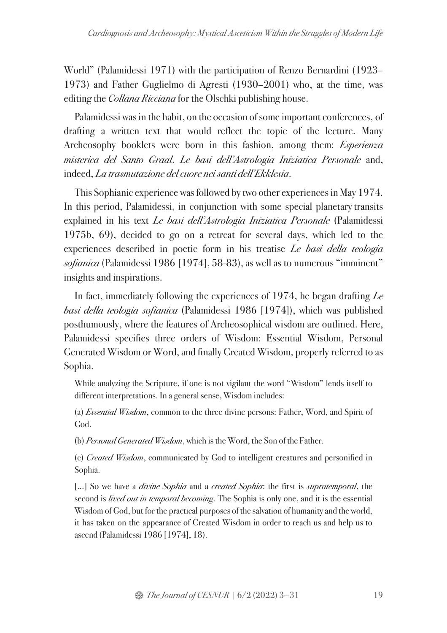World" (Palamidessi 1971) with the participation of Renzo Bernardini (1923– 1973) and Father Guglielmo di Agresti (1930–2001) who, at the time, was editing the *Collana Ricciana* for the Olschki publishing house.

Palamidessi was in the habit, on the occasion of some important conferences, of drafting a written text that would reflect the topic of the lecture. Many Archeosophy booklets were born in this fashion, among them: Esperienza misterica del Santo Graal, Le basi dell'Astrologia Iniziatica Personale and, indeed, La trasmutazione del cuore nei santi dell'Ekklesia.

This Sophianic experience was followed by two other experiences in May 1974. In this period, Palamidessi, in conjunction with some special planetary transits explained in his text Le basi dell'Astrologia Iniziatica Personale (Palamidessi 1975b, 69), decided to go on a retreat for several days, which led to the experiences described in poetic form in his treatise Le basi della teologia sofianica (Palamidessi 1986 [1974], 58-83), as well as to numerous "imminent" insights and inspirations.

In fact, immediately following the experiences of 1974, he began drafting Le basi della teologia sofianica (Palamidessi 1986 [1974]), which was published posthumously, where the features of Archeosophical wisdom are outlined. Here, Palamidessi specifies three orders of Wisdom: Essential Wisdom, Personal Generated Wisdom or Word, and finally Created Wisdom, properly referred to as Sophia.

While analyzing the Scripture, if one is not vigilant the word "Wisdom" lends itself to different interpretations. In a general sense, Wisdom includes:

(a) Essential Wisdom, common to the three divine persons: Father, Word, and Spirit of God.

(b) Personal Generated Wisdom, which is the Word, the Son of the Father.

(c) Created Wisdom, communicated by God to intelligent creatures and personified in Sophia.

[...] So we have a *divine Sophia* and a *created Sophia*: the first is *supratemporal*, the second is *lived out in temporal becoming*. The Sophia is only one, and it is the essential Wisdom of God, but for the practical purposes of the salvation of humanity and the world, it has taken on the appearance of Created Wisdom in order to reach us and help us to ascend (Palamidessi 1986 [1974], 18).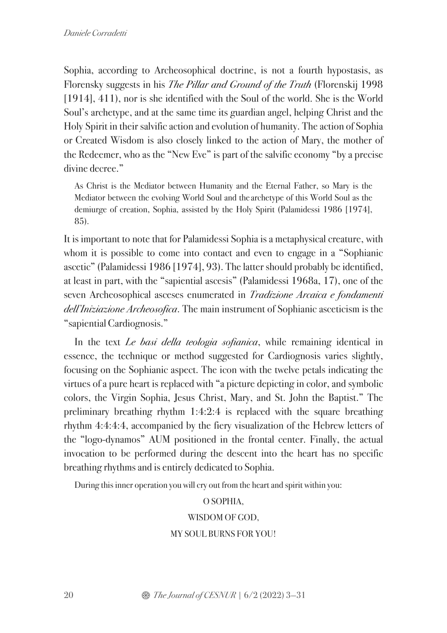Sophia, according to Archeosophical doctrine, is not a fourth hypostasis, as Florensky suggests in his The Pillar and Ground of the Truth (Florenskij 1998 [1914], 411), nor is she identified with the Soul of the world. She is the World Soul's archetype, and at the same time its guardian angel, helping Christ and the Holy Spirit in their salvific action and evolution of humanity. The action of Sophia or Created Wisdom is also closely linked to the action of Mary, the mother of the Redeemer, who as the "New Eve" is part of the salvific economy "by a precise divine decree."

As Christ is the Mediator between Humanity and the Eternal Father, so Mary is the Mediator between the evolving World Soul and the archetype of this World Soul as the demiurge of creation, Sophia, assisted by the Holy Spirit (Palamidessi 1986 [1974], 85).

It is important to note that for Palamidessi Sophia is a metaphysical creature, with whom it is possible to come into contact and even to engage in a "Sophianic ascetic" (Palamidessi 1986 [1974], 93). The latter should probably be identified, at least in part, with the "sapiential ascesis" (Palamidessi 1968a, 17), one of the seven Archeosophical asceses enumerated in Tradizione Arcaica e fondamenti dell'Iniziazione Archeosofica. The main instrument of Sophianic asceticism is the "sapiential Cardiognosis."

In the text *Le basi della teologia sofianica*, while remaining identical in essence, the technique or method suggested for Cardiognosis varies slightly, focusing on the Sophianic aspect. The icon with the twelve petals indicating the virtues of a pure heart is replaced with "a picture depicting in color, and symbolic colors, the Virgin Sophia, Jesus Christ, Mary, and St. John the Baptist." The preliminary breathing rhythm 1:4:2:4 is replaced with the square breathing rhythm 4:4:4:4, accompanied by the fiery visualization of the Hebrew letters of the "logo-dynamos" AUM positioned in the frontal center. Finally, the actual invocation to be performed during the descent into the heart has no specific breathing rhythms and is entirely dedicated to Sophia.

During this inner operation you will cry out from the heart and spirit within you:

#### O SOPHIA,

#### WISDOM OF GOD,

#### MY SOUL BURNS FOR YOU!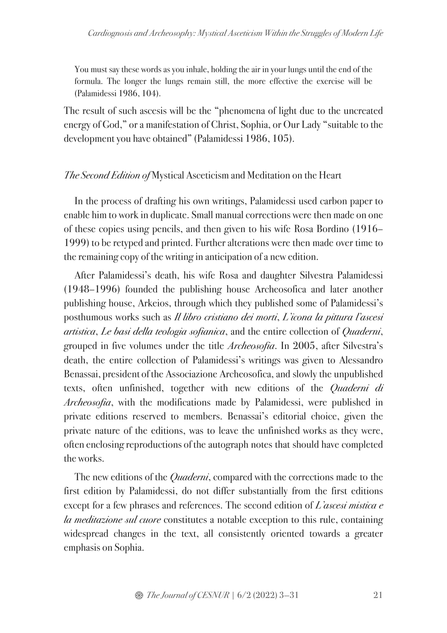You must say these words as you inhale, holding the air in your lungs until the end of the formula. The longer the lungs remain still, the more effective the exercise will be (Palamidessi 1986, 104).

The result of such ascesis will be the "phenomena of light due to the uncreated energy of God," or a manifestation of Christ, Sophia, or Our Lady "suitable to the development you have obtained" (Palamidessi 1986, 105).

### The Second Edition of Mystical Asceticism and Meditation on the Heart

In the process of drafting his own writings, Palamidessi used carbon paper to enable him to work in duplicate. Small manual corrections were then made on one of these copies using pencils, and then given to his wife Rosa Bordino (1916– 1999) to be retyped and printed. Further alterations were then made over time to the remaining copy of the writing in anticipation of a new edition.

After Palamidessi's death, his wife Rosa and daughter Silvestra Palamidessi (1948–1996) founded the publishing house Archeosofica and later another publishing house, Arkeios, through which they published some of Palamidessi's posthumous works such as Il libro cristiano dei morti, L'icona la pittura l'ascesi artistica, Le basi della teologia sofianica, and the entire collection of Quaderni, grouped in five volumes under the title Archeosofia. In 2005, after Silvestra's death, the entire collection of Palamidessi's writings was given to Alessandro Benassai, president of the Associazione Archeosofica, and slowly the unpublished texts, often unfinished, together with new editions of the *Quaderni di* Archeosofia, with the modifications made by Palamidessi, were published in private editions reserved to members. Benassai's editorial choice, given the private nature of the editions, was to leave the unfinished works as they were, often enclosing reproductions of the autograph notes that should have completed the works.

The new editions of the *Quaderni*, compared with the corrections made to the first edition by Palamidessi, do not differ substantially from the first editions except for a few phrases and references. The second edition of L'ascesi mistica e la meditazione sul cuore constitutes a notable exception to this rule, containing widespread changes in the text, all consistently oriented towards a greater emphasis on Sophia.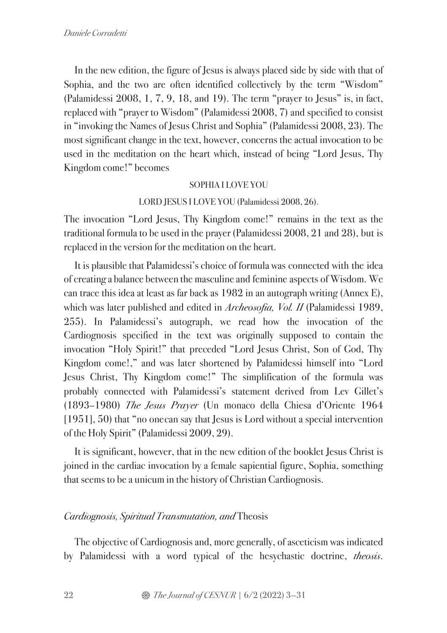In the new edition, the figure of Jesus is always placed side by side with that of Sophia, and the two are often identified collectively by the term "Wisdom" (Palamidessi 2008, 1, 7, 9, 18, and 19). The term "prayer to Jesus" is, in fact, replaced with "prayer to Wisdom" (Palamidessi 2008, 7) and specified to consist in "invoking the Names of Jesus Christ and Sophia" (Palamidessi 2008, 23). The most significant change in the text, however, concerns the actual invocation to be used in the meditation on the heart which, instead of being "Lord Jesus, Thy Kingdom come!" becomes

#### SOPHIA I LOVE YOU

#### LORD JESUS I LOVE YOU (Palamidessi 2008, 26).

The invocation "Lord Jesus, Thy Kingdom come!" remains in the text as the traditional formula to be used in the prayer (Palamidessi 2008, 21 and 28), but is replaced in the version for the meditation on the heart.

It is plausible that Palamidessi's choice of formula was connected with the idea of creating a balance between the masculine and feminine aspects of Wisdom. We can trace this idea at least as far back as 1982 in an autograph writing (Annex E), which was later published and edited in *Archeosofia*, Vol. II (Palamidessi 1989, 255). In Palamidessi's autograph, we read how the invocation of the Cardiognosis specified in the text was originally supposed to contain the invocation "Holy Spirit!" that preceded "Lord Jesus Christ, Son of God, Thy Kingdom come!," and was later shortened by Palamidessi himself into "Lord Jesus Christ, Thy Kingdom come!" The simplification of the formula was probably connected with Palamidessi's statement derived from Lev Gillet's (1893–1980) The Jesus Prayer (Un monaco della Chiesa d'Oriente 1964 [1951], 50) that "no one can say that Jesus is Lord without a special intervention of the Holy Spirit" (Palamidessi 2009, 29).

It is significant, however, that in the new edition of the booklet Jesus Christ is joined in the cardiac invocation by a female sapiential figure, Sophia, something that seems to be a unicum in the history of Christian Cardiognosis.

### Cardiognosis, Spiritual Transmutation, and Theosis

The objective of Cardiognosis and, more generally, of asceticism was indicated by Palamidessi with a word typical of the hesychastic doctrine, theosis.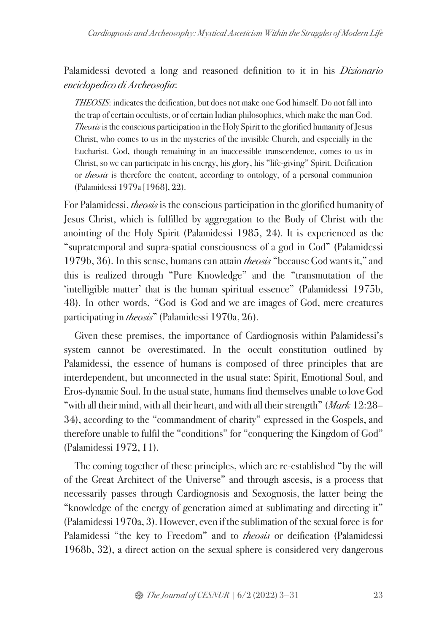Palamidessi devoted a long and reasoned definition to it in his *Dizionario* enciclopedico di Archeosofia:

THEOSIS: indicates the deification, but does not make one God himself. Do not fall into the trap of certain occultists, or of certain Indian philosophies, which make the man God. Theosis is the conscious participation in the Holy Spirit to the glorified humanity of Jesus Christ, who comes to us in the mysteries of the invisible Church, and especially in the Eucharist. God, though remaining in an inaccessible transcendence, comes to us in Christ, so we can participate in his energy, his glory, his "life-giving" Spirit. Deification or *theosis* is therefore the content, according to ontology, of a personal communion (Palamidessi 1979a [1968], 22).

For Palamidessi, theosis is the conscious participation in the glorified humanity of Jesus Christ, which is fulfilled by aggregation to the Body of Christ with the anointing of the Holy Spirit (Palamidessi 1985, 24). It is experienced as the "supratemporal and supra-spatial consciousness of a god in God" (Palamidessi 1979b, 36). In this sense, humans can attain *theosis* "because God wants it," and this is realized through "Pure Knowledge" and the "transmutation of the 'intelligible matter' that is the human spiritual essence" (Palamidessi 1975b, 48). In other words, "God is God and we are images of God, mere creatures participating in *theosis*" (Palamidessi 1970a, 26).

Given these premises, the importance of Cardiognosis within Palamidessi's system cannot be overestimated. In the occult constitution outlined by Palamidessi, the essence of humans is composed of three principles that are interdependent, but unconnected in the usual state: Spirit, Emotional Soul, and Eros-dynamic Soul. In the usual state, humans find themselves unable to loveGod "with all their mind, with all their heart, and with all their strength" (Mark  $12:28-$ 34), according to the "commandment of charity" expressed in the Gospels, and therefore unable to fulfil the "conditions" for "conquering the Kingdom of God" (Palamidessi 1972, 11).

The coming together of these principles, which are re-established "by the will of the Great Architect of the Universe" and through ascesis, is a process that necessarily passes through Cardiognosis and Sexognosis, the latter being the "knowledge of the energy of generation aimed at sublimating and directing it" (Palamidessi 1970a, 3). However, even if the sublimation of the sexual force is for Palamidessi "the key to Freedom" and to *theosis* or deification (Palamidessi 1968b, 32), a direct action on the sexual sphere is considered very dangerous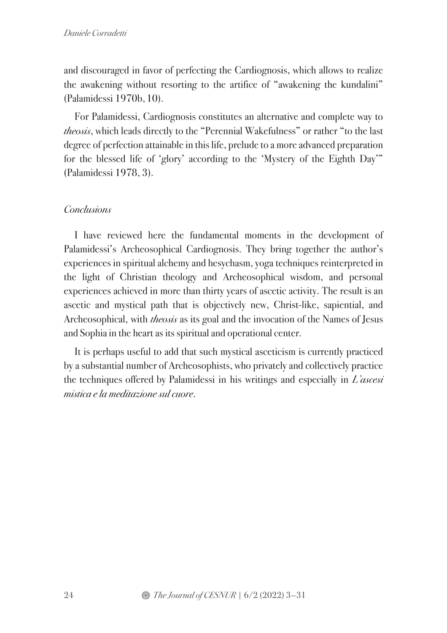and discouraged in favor of perfecting the Cardiognosis, which allows to realize the awakening without resorting to the artifice of "awakening the kundalini" (Palamidessi 1970b,10).

For Palamidessi, Cardiognosis constitutes an alternative and complete way to theosis, which leads directly to the "Perennial Wakefulness" or rather "to the last degree of perfection attainable in this life, prelude to a more advanced preparation for the blessed life of 'glory' according to the 'Mystery of the Eighth Day'" (Palamidessi 1978, 3).

# **Conclusions**

I have reviewed here the fundamental moments in the development of Palamidessi's Archeosophical Cardiognosis. They bring together the author's experiences in spiritual alchemy and hesychasm, yoga techniques reinterpreted in the light of Christian theology and Archeosophical wisdom, and personal experiences achieved in more than thirty years of ascetic activity. The result is an ascetic and mystical path that is objectively new, Christ-like, sapiential, and Archeosophical, with *theosis* as its goal and the invocation of the Names of Jesus and Sophia in the heart as its spiritual and operational center.

It is perhaps useful to add that such mystical asceticism is currently practiced by a substantial number of Archeosophists, who privately and collectively practice the techniques offered by Palamidessi in his writings and especially in  $L'$  ascesi mistica e la meditazione sul cuore.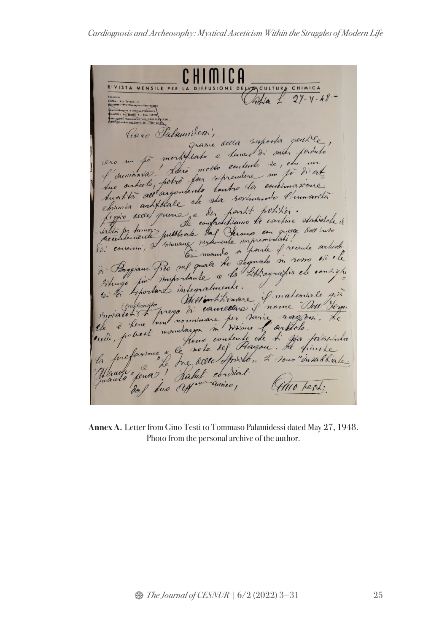RIVISTA MENSILE PER LA DIFFUSIONE DELA CULTURA CHIMICA Sha L.  $27 - 1 - 48$ VIA DE CIFFICILE PERMISCITÀ<br>VIA DECTR. 9 - TRL. 155997<br>VIA DEL SERVI, 38 - TRL 22. Caux Palain (des) quanie accur suposta peut le granie accur sisposta quittée f'aumonta. L'aire molte contente de, en met Lucilités au argentente éculier commune éliminants subin en artificale de sur roxmanne rumanisme acceptainente publicate de conservation ?!!<br>les consister de l'insurante de la poste de conservation de la Seguide de la Seguide de la Conseile de la Conseile de la Conseile de la Conseile de la Conseile de la Conseile de Messionhimme. I materiale gir Invitator de la constitución de la fin de la fin de la fin de la fin de la fin de la fin de la fin de la fin de la fin de la fin de la fin de la fin de la fin de la fin de la fin de la fin de la fin de la fin de la fin de

**Annex A.** Letter from Gino Testi to Tommaso Palamidessi dated May 27, 1948. Photo from the personal archive of the author.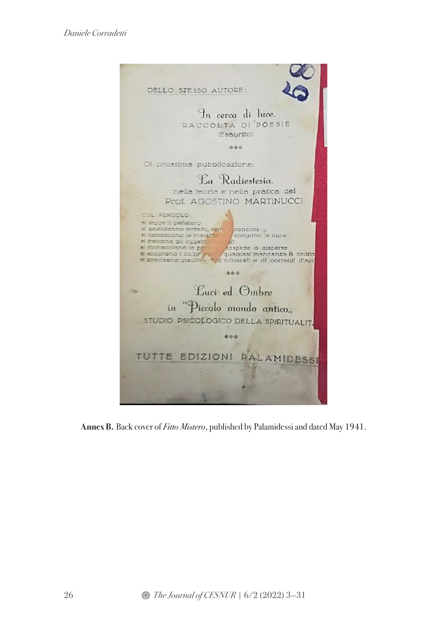

**Annex B.** Back cover of Fitto Mistero, published by Palamidessi and dated May 1941.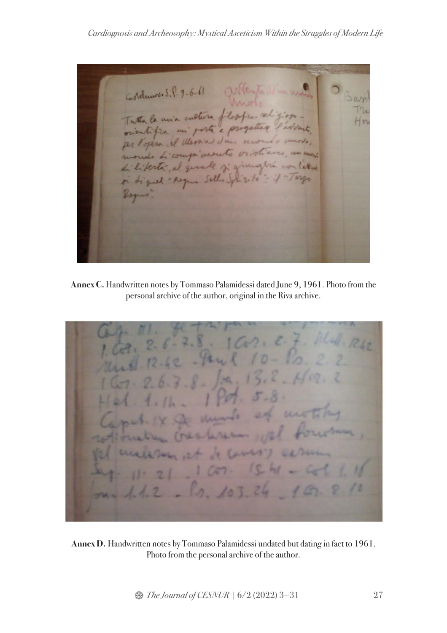Cardiognosis and Archeosophy: Mystical Asceticism Within the Struggles of Modern Life

Cordumov. S. P. 9-6-61 Tutta la mia cultura flosfier rel orientifica mi porte a progetter per Popera il Messia d'un mon mondo di compi mento virtinas North letters di litertà, al quale si a or digues - Asyun Sells Impo zita Ver

**Annex C.** Handwritten notes by Tommaso Palamidessi dated June 9, 1961. Photo from the personal archive of the author, original in the Riva archive.

**Annex D.** Handwritten notes by Tommaso Palamidessi undated but dating in fact to 1961. Photo from the personal archive of the author.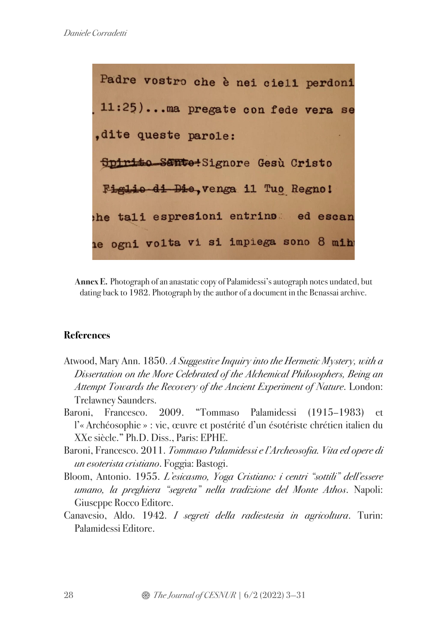

**Annex E.** Photograph of an anastatic copy of Palamidessi's autograph notes undated, but dating back to 1982. Photograph by the author of a document in the Benassai archive.

### **References**

- Atwood, Mary Ann. 1850. A Suggestive Inquiry into the Hermetic Mystery, with a Dissertation on the More Celebrated of the Alchemical Philosophers, Being an Attempt Towards the Recovery of the Ancient Experiment of Nature. London: Trelawney Saunders.
- Baroni, Francesco. 2009. "Tommaso Palamidessi (1915–1983) et l'« Archéosophie » : vie, œuvre et postérité d'un ésotériste chrétien italien du XXe siècle." Ph.D. Diss., Paris: EPHE.
- Baroni, Francesco. 2011. Tommaso Palamidessi e l'Archeosofia. Vita ed opere di un esoterista cristiano. Foggia: Bastogi.
- Bloom, Antonio. 1955. L'esicasmo, Yoga Cristiano: i centri "sottili" dell'essere umano, la preghiera "segreta" nella tradizione del Monte Athos. Napoli: Giuseppe Rocco Editore.
- Canavesio, Aldo. 1942. I segreti della radiestesia in agricoltura. Turin: Palamidessi Editore.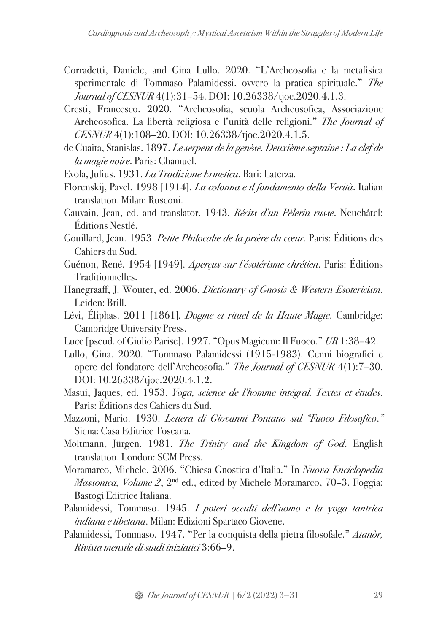- Corradetti, Daniele, and Gina Lullo. 2020. "L'Archeosofia e la metafisica sperimentale di Tommaso Palamidessi, ovvero la pratica spirituale." The Journal of CESNUR 4(1):31–54. DOI: 10.26338/tjoc.2020.4.1.3.
- Cresti, Francesco. 2020. "Archeosofia, scuola Archeosofica, Associazione Archeosofica. La libertà religiosa e l'unità delle religioni." The Journal of CESNUR 4(1):108–20. DOI: 10.26338/tjoc.2020.4.1.5.
- de Guaita, Stanislas. 1897. Le serpent de la genèse. Deuxième septaine : La clef de la magie noire. Paris: Chamuel.
- Evola, Julius. 1931. La Tradizione Ermetica. Bari: Laterza.
- Florenskij, Pavel. 1998 [1914]. La colonna e il fondamento della Verità. Italian translation. Milan: Rusconi.
- Gauvain, Jean, ed. and translator. 1943. Récits d'un Pèlerin russe. Neuchâtel: Éditions Nestlé.
- Gouillard, Jean. 1953. Petite Philocalie de la prière du cœur. Paris: Éditions des Cahiers du Sud.
- Guénon, René. 1954 [1949]. Aperçus sur l'ésotérisme chrétien. Paris: Éditions Traditionnelles.
- Hanegraaff, J. Wouter, ed. 2006. Dictionary of Gnosis & Western Esotericism. Leiden: Brill.
- Lévi, Éliphas. 2011 [1861]. *Dogme et rituel de la Haute Magie*. Cambridge: Cambridge University Press.
- Luce [pseud. of Giulio Parise]. 1927. "Opus Magicum: Il Fuoco." UR 1:38–42.
- Lullo, Gina. 2020. "Tommaso Palamidessi (1915-1983). Cenni biografici e opere del fondatore dell'Archeosofia." The Journal of CESNUR 4(1):7–30. DOI: 10.26338/tjoc.2020.4.1.2.
- Masui, Jaques, ed. 1953. Yoga, science de l'homme intégral. Textes et études. Paris: Éditions des Cahiers du Sud.
- Mazzoni, Mario. 1930. Lettera di Giovanni Pontano sul "Fuoco Filosofico." Siena: Casa Editrice Toscana.
- Moltmann, Jürgen. 1981. The Trinity and the Kingdom of God. English translation. London: SCM Press.
- Moramarco, Michele. 2006. "Chiesa Gnostica d'Italia." In Nuova Enciclopedia *Massonica, Volume 2, 2<sup>nd</sup>* ed., edited by Michele Moramarco, 70–3. Foggia: Bastogi Editrice Italiana.
- Palamidessi, Tommaso. 1945. I poteri occulti dell'uomo e la yoga tantrica indiana e tibetana. Milan: Edizioni Spartaco Giovene.
- Palamidessi, Tommaso. 1947. "Per la conquista della pietra filosofale." Atanòr, Rivista mensile di studi iniziatici 3:66–9.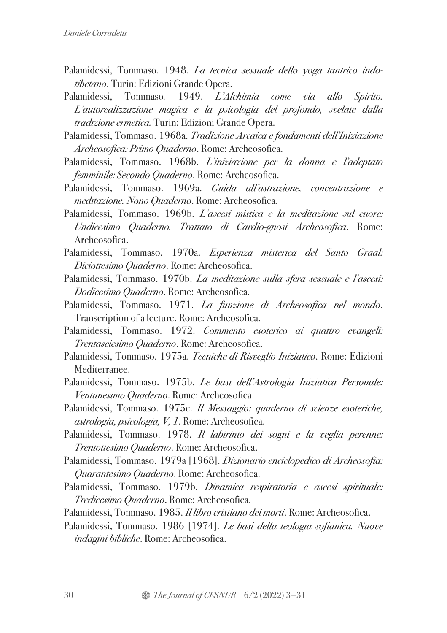- Palamidessi, Tommaso. 1948. La tecnica sessuale dello yoga tantrico indotibetano. Turin: Edizioni Grande Opera.
- Palamidessi, Tommaso. 1949. L'Alchimia come via allo Spirito. L'autorealizzazione magica e la psicologia del profondo, svelate dalla tradizione ermetica. Turin: Edizioni Grande Opera.
- Palamidessi, Tommaso. 1968a. Tradizione Arcaica e fondamenti dell'Iniziazione Archeosofica: Primo Quaderno. Rome: Archeosofica.
- Palamidessi, Tommaso. 1968b. L'iniziazione per la donna e l'adeptato femminile: Secondo Quaderno. Rome: Archeosofica.
- Palamidessi, Tommaso. 1969a. Guida all'astrazione, concentrazione e meditazione: Nono Quaderno. Rome: Archeosofica.
- Palamidessi, Tommaso. 1969b. L'ascesi mistica e la meditazione sul cuore: Undicesimo Quaderno. Trattato di Cardio-gnosi Archeosofica. Rome: Archeosofica.
- Palamidessi, Tommaso. 1970a. Esperienza misterica del Santo Graal: Diciottesimo Quaderno. Rome: Archeosofica.
- Palamidessi, Tommaso. 1970b. La meditazione sulla sfera sessuale e l'ascesi: Dodicesimo Quaderno. Rome: Archeosofica.
- Palamidessi, Tommaso. 1971. La funzione di Archeosofica nel mondo. Transcription of a lecture. Rome: Archeosofica.
- Palamidessi, Tommaso. 1972. Commento esoterico ai quattro evangeli: Trentaseiesimo Quaderno. Rome: Archeosofica.
- Palamidessi, Tommaso. 1975a. Tecniche di Risveglio Iniziatico. Rome: Edizioni Mediterranee.
- Palamidessi, Tommaso. 1975b. Le basi dell'Astrologia Iniziatica Personale: Ventunesimo Quaderno. Rome: Archeosofica.
- Palamidessi, Tommaso. 1975c. Il Messaggio: quaderno di scienze esoteriche, astrologia, psicologia, V, 1. Rome: Archeosofica.
- Palamidessi, Tommaso. 1978. Il labirinto dei sogni e la veglia perenne: Trentottesimo Quaderno. Rome: Archeosofica.
- Palamidessi, Tommaso. 1979a [1968]. Dizionario enciclopedico di Archeosofia: Quarantesimo Quaderno. Rome: Archeosofica.
- Palamidessi, Tommaso. 1979b. Dinamica respiratoria e ascesi spirituale: Tredicesimo Quaderno. Rome: Archeosofica.
- Palamidessi, Tommaso. 1985. Il libro cristiano dei morti. Rome: Archeosofica.
- Palamidessi, Tommaso. 1986 [1974]. Le basi della teologia sofianica. Nuove indagini bibliche. Rome: Archeosofica.